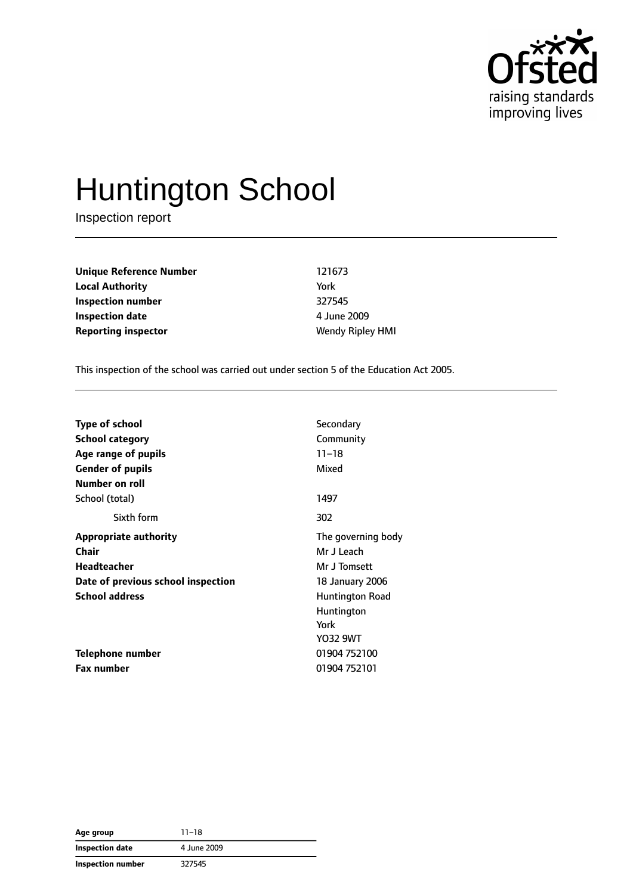

# Huntington School

Inspection report

**Unique Reference Number** 121673 **Local Authority** York **Inspection number** 327545 **Inspection date** 4 June 2009 **Reporting inspector Wendy Ripley HMI** 

This inspection of the school was carried out under section 5 of the Education Act 2005.

| <b>Type of school</b>              | Secondary          |
|------------------------------------|--------------------|
| <b>School category</b>             | Community          |
| Age range of pupils                | $11 - 18$          |
| <b>Gender of pupils</b>            | Mixed              |
| Number on roll                     |                    |
| School (total)                     | 1497               |
| Sixth form                         | 302                |
| <b>Appropriate authority</b>       | The governing body |
| Chair                              | Mr J Leach         |
| <b>Headteacher</b>                 | Mr J Tomsett       |
| Date of previous school inspection | 18 January 2006    |
| <b>School address</b>              | Huntington Road    |
|                                    | Huntington         |
|                                    | York               |
|                                    | Y032 9WT           |
| Telephone number                   | 01904 752100       |
| <b>Fax number</b>                  | 01904 752101       |

| Age group                | $11 - 18$   |
|--------------------------|-------------|
| Inspection date          | 4 June 2009 |
| <b>Inspection number</b> | 327545      |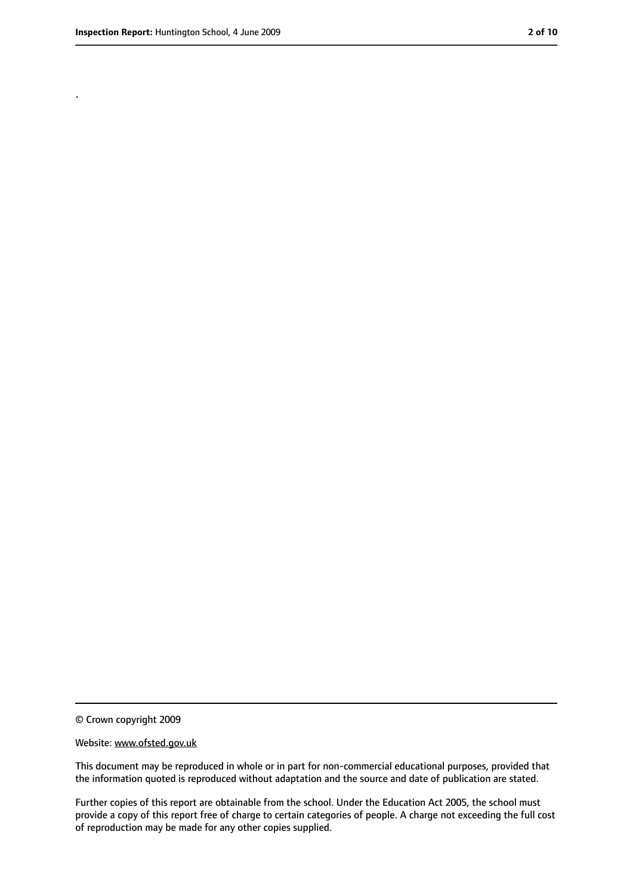.

<sup>©</sup> Crown copyright 2009

Website: www.ofsted.gov.uk

This document may be reproduced in whole or in part for non-commercial educational purposes, provided that the information quoted is reproduced without adaptation and the source and date of publication are stated.

Further copies of this report are obtainable from the school. Under the Education Act 2005, the school must provide a copy of this report free of charge to certain categories of people. A charge not exceeding the full cost of reproduction may be made for any other copies supplied.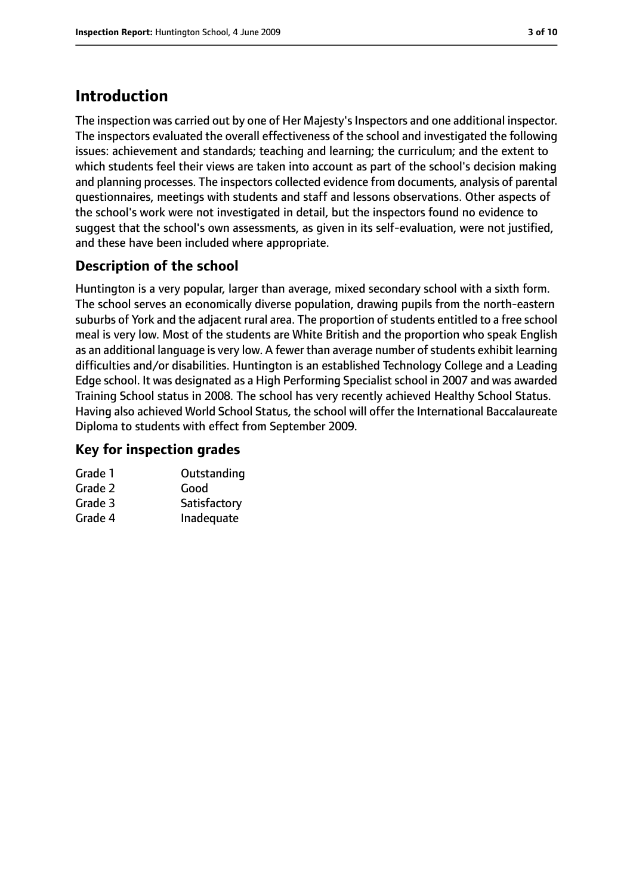# **Introduction**

The inspection was carried out by one of Her Majesty's Inspectors and one additional inspector. The inspectors evaluated the overall effectiveness of the school and investigated the following issues: achievement and standards; teaching and learning; the curriculum; and the extent to which students feel their views are taken into account as part of the school's decision making and planning processes. The inspectors collected evidence from documents, analysis of parental questionnaires, meetings with students and staff and lessons observations. Other aspects of the school's work were not investigated in detail, but the inspectors found no evidence to suggest that the school's own assessments, as given in its self-evaluation, were not justified, and these have been included where appropriate.

# **Description of the school**

Huntington is a very popular, larger than average, mixed secondary school with a sixth form. The school serves an economically diverse population, drawing pupils from the north-eastern suburbs of York and the adjacent rural area. The proportion of students entitled to a free school meal is very low. Most of the students are White British and the proportion who speak English as an additional language is very low. A fewer than average number of students exhibit learning difficulties and/or disabilities. Huntington is an established Technology College and a Leading Edge school. It was designated as a High Performing Specialist school in 2007 and was awarded Training School status in 2008. The school has very recently achieved Healthy School Status. Having also achieved World School Status, the school will offer the International Baccalaureate Diploma to students with effect from September 2009.

## **Key for inspection grades**

| Grade 1 | Outstanding  |
|---------|--------------|
| Grade 2 | Good         |
| Grade 3 | Satisfactory |
| Grade 4 | Inadequate   |
|         |              |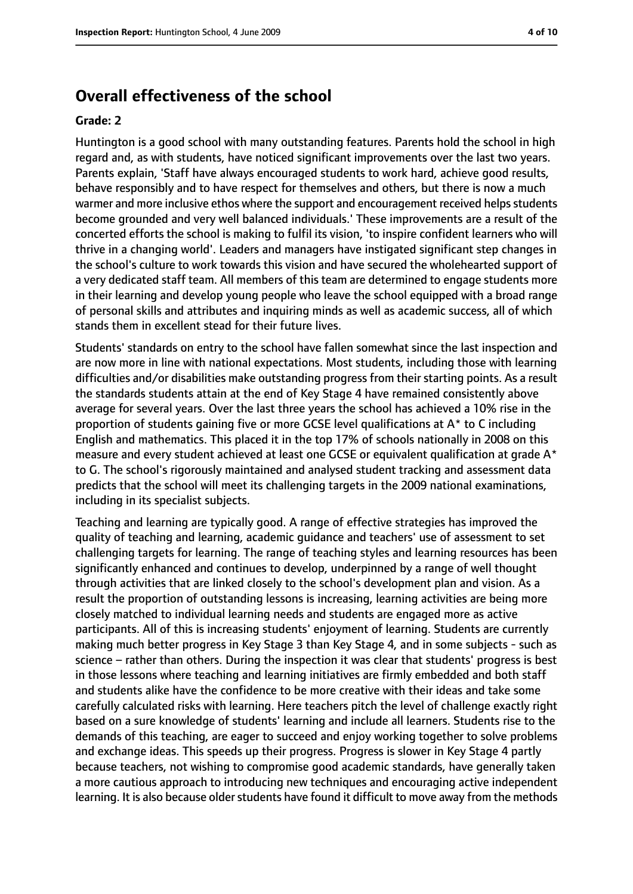# **Overall effectiveness of the school**

#### **Grade: 2**

Huntington is a good school with many outstanding features. Parents hold the school in high regard and, as with students, have noticed significant improvements over the last two years. Parents explain, 'Staff have always encouraged students to work hard, achieve good results, behave responsibly and to have respect for themselves and others, but there is now a much warmer and more inclusive ethos where the support and encouragement received helps students become grounded and very well balanced individuals.' These improvements are a result of the concerted efforts the school is making to fulfil its vision, 'to inspire confident learners who will thrive in a changing world'. Leaders and managers have instigated significant step changes in the school's culture to work towards this vision and have secured the wholehearted support of a very dedicated staff team. All members of this team are determined to engage students more in their learning and develop young people who leave the school equipped with a broad range of personal skills and attributes and inquiring minds as well as academic success, all of which stands them in excellent stead for their future lives.

Students' standards on entry to the school have fallen somewhat since the last inspection and are now more in line with national expectations. Most students, including those with learning difficulties and/or disabilities make outstanding progress from their starting points. As a result the standards students attain at the end of Key Stage 4 have remained consistently above average for several years. Over the last three years the school has achieved a 10% rise in the proportion of students gaining five or more GCSE level qualifications at A\* to C including English and mathematics. This placed it in the top 17% of schools nationally in 2008 on this measure and every student achieved at least one GCSE or equivalent qualification at grade A\* to G. The school's rigorously maintained and analysed student tracking and assessment data predicts that the school will meet its challenging targets in the 2009 national examinations, including in its specialist subjects.

Teaching and learning are typically good. A range of effective strategies has improved the quality of teaching and learning, academic guidance and teachers' use of assessment to set challenging targets for learning. The range of teaching styles and learning resources has been significantly enhanced and continues to develop, underpinned by a range of well thought through activities that are linked closely to the school's development plan and vision. As a result the proportion of outstanding lessons is increasing, learning activities are being more closely matched to individual learning needs and students are engaged more as active participants. All of this is increasing students' enjoyment of learning. Students are currently making much better progress in Key Stage 3 than Key Stage 4, and in some subjects - such as science – rather than others. During the inspection it was clear that students' progress is best in those lessons where teaching and learning initiatives are firmly embedded and both staff and students alike have the confidence to be more creative with their ideas and take some carefully calculated risks with learning. Here teachers pitch the level of challenge exactly right based on a sure knowledge of students' learning and include all learners. Students rise to the demands of this teaching, are eager to succeed and enjoy working together to solve problems and exchange ideas. This speeds up their progress. Progress is slower in Key Stage 4 partly because teachers, not wishing to compromise good academic standards, have generally taken a more cautious approach to introducing new techniques and encouraging active independent learning. It is also because older students have found it difficult to move away from the methods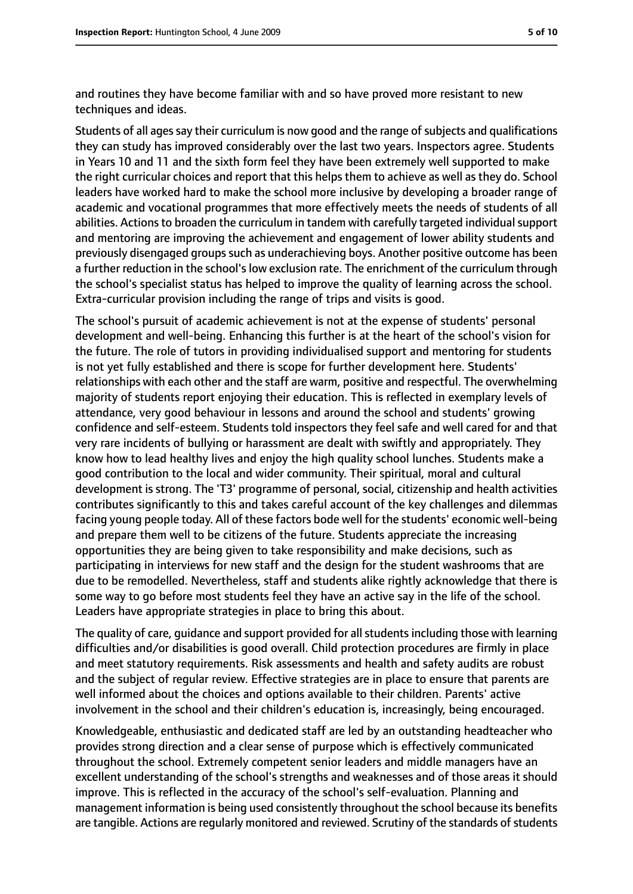and routines they have become familiar with and so have proved more resistant to new techniques and ideas.

Students of all ages say their curriculum is now good and the range of subjects and qualifications they can study has improved considerably over the last two years. Inspectors agree. Students in Years 10 and 11 and the sixth form feel they have been extremely well supported to make the right curricular choices and report that this helps them to achieve as well as they do. School leaders have worked hard to make the school more inclusive by developing a broader range of academic and vocational programmes that more effectively meets the needs of students of all abilities. Actions to broaden the curriculum in tandem with carefully targeted individual support and mentoring are improving the achievement and engagement of lower ability students and previously disengaged groups such as underachieving boys. Another positive outcome has been a further reduction in the school's low exclusion rate. The enrichment of the curriculum through the school's specialist status has helped to improve the quality of learning across the school. Extra-curricular provision including the range of trips and visits is good.

The school's pursuit of academic achievement is not at the expense of students' personal development and well-being. Enhancing this further is at the heart of the school's vision for the future. The role of tutors in providing individualised support and mentoring for students is not yet fully established and there is scope for further development here. Students' relationships with each other and the staff are warm, positive and respectful. The overwhelming majority of students report enjoying their education. This is reflected in exemplary levels of attendance, very good behaviour in lessons and around the school and students' growing confidence and self-esteem. Students told inspectors they feel safe and well cared for and that very rare incidents of bullying or harassment are dealt with swiftly and appropriately. They know how to lead healthy lives and enjoy the high quality school lunches. Students make a good contribution to the local and wider community. Their spiritual, moral and cultural development is strong. The 'T3' programme of personal, social, citizenship and health activities contributes significantly to this and takes careful account of the key challenges and dilemmas facing young people today. All of these factors bode well for the students' economic well-being and prepare them well to be citizens of the future. Students appreciate the increasing opportunities they are being given to take responsibility and make decisions, such as participating in interviews for new staff and the design for the student washrooms that are due to be remodelled. Nevertheless, staff and students alike rightly acknowledge that there is some way to go before most students feel they have an active say in the life of the school. Leaders have appropriate strategies in place to bring this about.

The quality of care, quidance and support provided for all students including those with learning difficulties and/or disabilities is good overall. Child protection procedures are firmly in place and meet statutory requirements. Risk assessments and health and safety audits are robust and the subject of regular review. Effective strategies are in place to ensure that parents are well informed about the choices and options available to their children. Parents' active involvement in the school and their children's education is, increasingly, being encouraged.

Knowledgeable, enthusiastic and dedicated staff are led by an outstanding headteacher who provides strong direction and a clear sense of purpose which is effectively communicated throughout the school. Extremely competent senior leaders and middle managers have an excellent understanding of the school's strengths and weaknesses and of those areas it should improve. This is reflected in the accuracy of the school's self-evaluation. Planning and management information is being used consistently throughout the school because its benefits are tangible. Actions are regularly monitored and reviewed. Scrutiny of the standards of students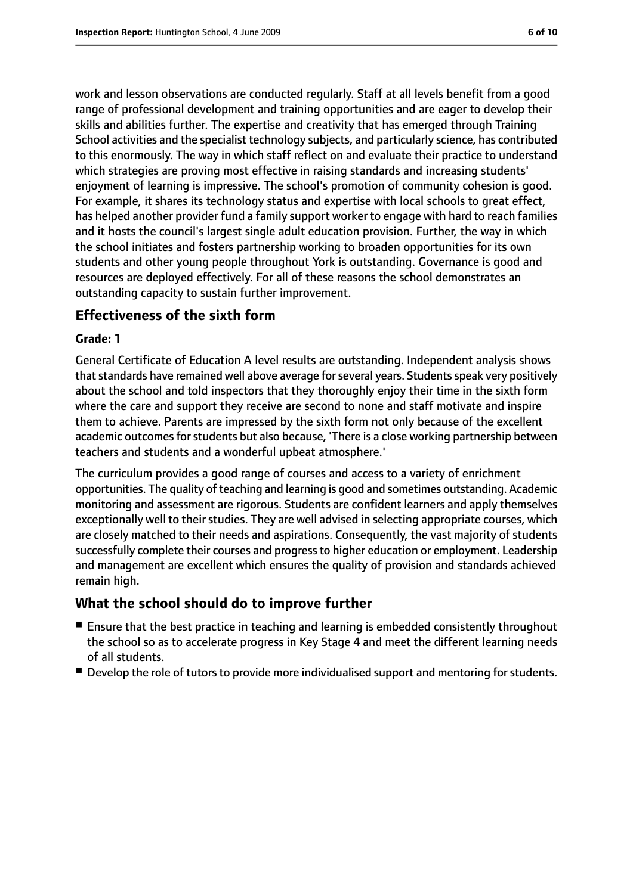work and lesson observations are conducted regularly. Staff at all levels benefit from a good range of professional development and training opportunities and are eager to develop their skills and abilities further. The expertise and creativity that has emerged through Training School activities and the specialist technology subjects, and particularly science, has contributed to this enormously. The way in which staff reflect on and evaluate their practice to understand which strategies are proving most effective in raising standards and increasing students' enjoyment of learning is impressive. The school's promotion of community cohesion is good. For example, it shares its technology status and expertise with local schools to great effect, has helped another provider fund a family support worker to engage with hard to reach families and it hosts the council's largest single adult education provision. Further, the way in which the school initiates and fosters partnership working to broaden opportunities for its own students and other young people throughout York is outstanding. Governance is good and resources are deployed effectively. For all of these reasons the school demonstrates an outstanding capacity to sustain further improvement.

## **Effectiveness of the sixth form**

#### **Grade: 1**

General Certificate of Education A level results are outstanding. Independent analysis shows that standards have remained well above average for several years. Students speak very positively about the school and told inspectors that they thoroughly enjoy their time in the sixth form where the care and support they receive are second to none and staff motivate and inspire them to achieve. Parents are impressed by the sixth form not only because of the excellent academic outcomes for students but also because, 'There is a close working partnership between teachers and students and a wonderful upbeat atmosphere.'

The curriculum provides a good range of courses and access to a variety of enrichment opportunities. The quality of teaching and learning is good and sometimes outstanding. Academic monitoring and assessment are rigorous. Students are confident learners and apply themselves exceptionally well to their studies. They are well advised in selecting appropriate courses, which are closely matched to their needs and aspirations. Consequently, the vast majority of students successfully complete their courses and progressto higher education or employment. Leadership and management are excellent which ensures the quality of provision and standards achieved remain high.

#### **What the school should do to improve further**

- Ensure that the best practice in teaching and learning is embedded consistently throughout the school so as to accelerate progress in Key Stage 4 and meet the different learning needs of all students.
- Develop the role of tutors to provide more individualised support and mentoring for students.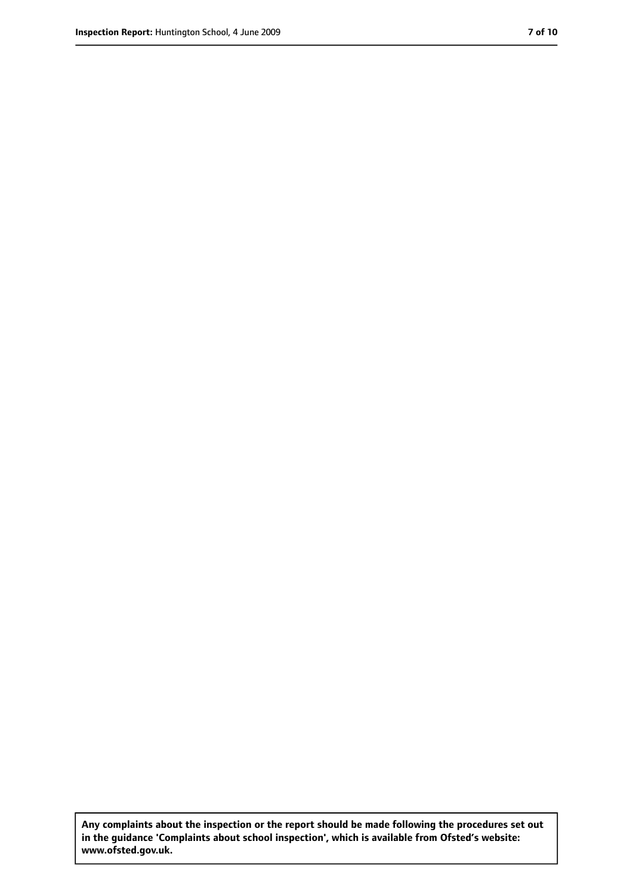**Any complaints about the inspection or the report should be made following the procedures set out in the guidance 'Complaints about school inspection', which is available from Ofsted's website: www.ofsted.gov.uk.**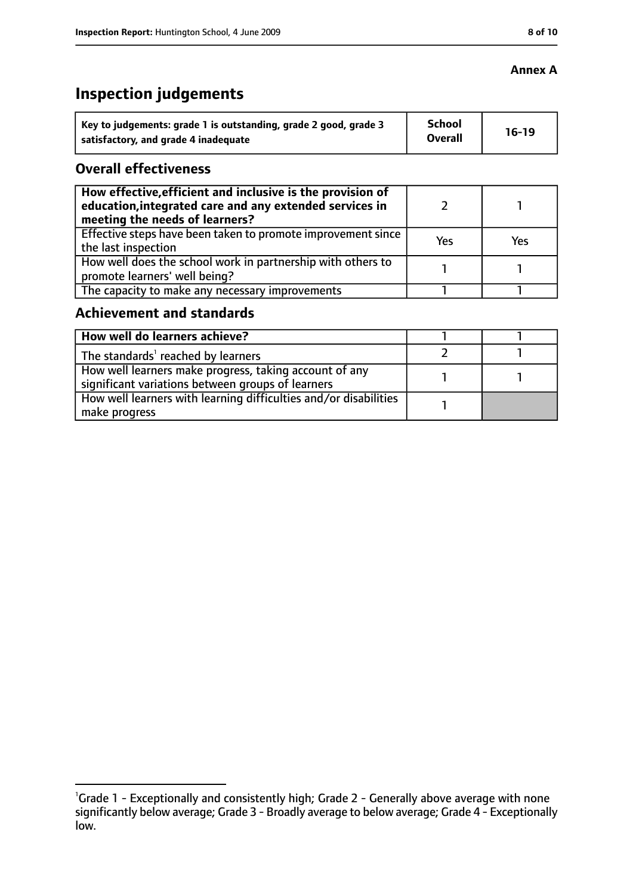# **Inspection judgements**

| Key to judgements: grade 1 is outstanding, grade 2 good, grade 3 | <b>School</b>  | $16-19$ |
|------------------------------------------------------------------|----------------|---------|
| satisfactory, and grade 4 inadequate                             | <b>Overall</b> |         |

### **Overall effectiveness**

| How effective, efficient and inclusive is the provision of<br>education, integrated care and any extended services in<br>meeting the needs of learners? |     |     |
|---------------------------------------------------------------------------------------------------------------------------------------------------------|-----|-----|
| Effective steps have been taken to promote improvement since<br>the last inspection                                                                     | Yes | Yes |
| How well does the school work in partnership with others to<br>promote learners' well being?                                                            |     |     |
| The capacity to make any necessary improvements                                                                                                         |     |     |

### **Achievement and standards**

| How well do learners achieve?                                                                               |  |
|-------------------------------------------------------------------------------------------------------------|--|
| The standards <sup>1</sup> reached by learners                                                              |  |
| How well learners make progress, taking account of any<br>significant variations between groups of learners |  |
| How well learners with learning difficulties and/or disabilities<br>make progress                           |  |

## **Annex A**

<sup>&</sup>lt;sup>1</sup>Grade 1 - Exceptionally and consistently high; Grade 2 - Generally above average with none significantly below average; Grade 3 - Broadly average to below average; Grade 4 - Exceptionally low.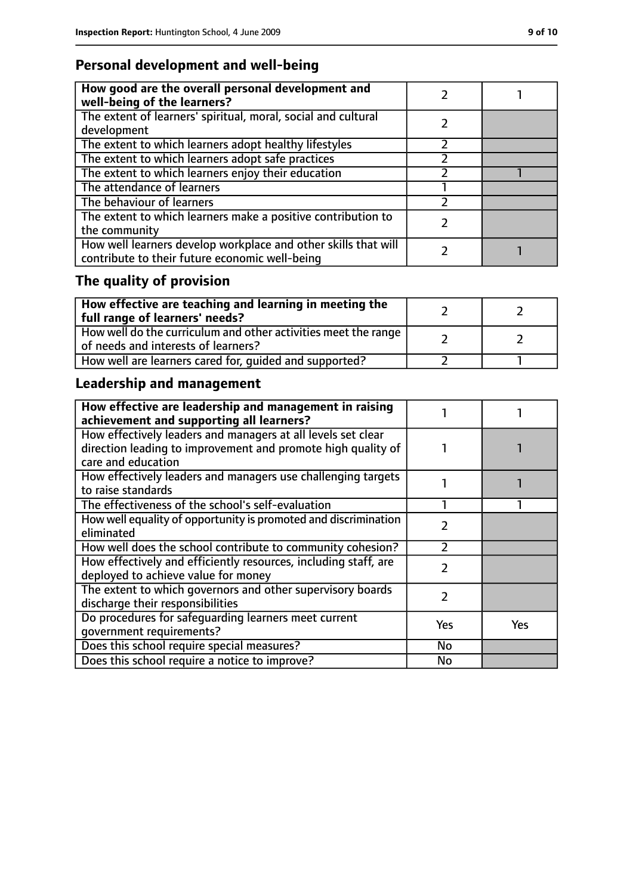# **Personal development and well-being**

| How good are the overall personal development and<br>well-being of the learners?                                 |  |
|------------------------------------------------------------------------------------------------------------------|--|
| The extent of learners' spiritual, moral, social and cultural<br>development                                     |  |
| The extent to which learners adopt healthy lifestyles                                                            |  |
| The extent to which learners adopt safe practices                                                                |  |
| The extent to which learners enjoy their education                                                               |  |
| The attendance of learners                                                                                       |  |
| The behaviour of learners                                                                                        |  |
| The extent to which learners make a positive contribution to<br>the community                                    |  |
| How well learners develop workplace and other skills that will<br>contribute to their future economic well-being |  |

# **The quality of provision**

| $\mid$ How effective are teaching and learning in meeting the<br>full range of learners' needs?       |  |
|-------------------------------------------------------------------------------------------------------|--|
| How well do the curriculum and other activities meet the range<br>of needs and interests of learners? |  |
| How well are learners cared for, quided and supported?                                                |  |

# **Leadership and management**

| How effective are leadership and management in raising<br>achievement and supporting all learners?                           |               |     |
|------------------------------------------------------------------------------------------------------------------------------|---------------|-----|
| How effectively leaders and managers at all levels set clear<br>direction leading to improvement and promote high quality of |               |     |
| care and education                                                                                                           |               |     |
| How effectively leaders and managers use challenging targets<br>to raise standards                                           |               |     |
| The effectiveness of the school's self-evaluation                                                                            |               |     |
| How well equality of opportunity is promoted and discrimination<br>eliminated                                                | 2             |     |
| How well does the school contribute to community cohesion?                                                                   | フ             |     |
| How effectively and efficiently resources, including staff, are<br>deployed to achieve value for money                       | $\mathcal{P}$ |     |
| The extent to which governors and other supervisory boards<br>discharge their responsibilities                               | 7             |     |
| Do procedures for safeguarding learners meet current<br>qovernment requirements?                                             | Yes           | Yes |
| Does this school require special measures?                                                                                   | No            |     |
| Does this school require a notice to improve?                                                                                | No            |     |